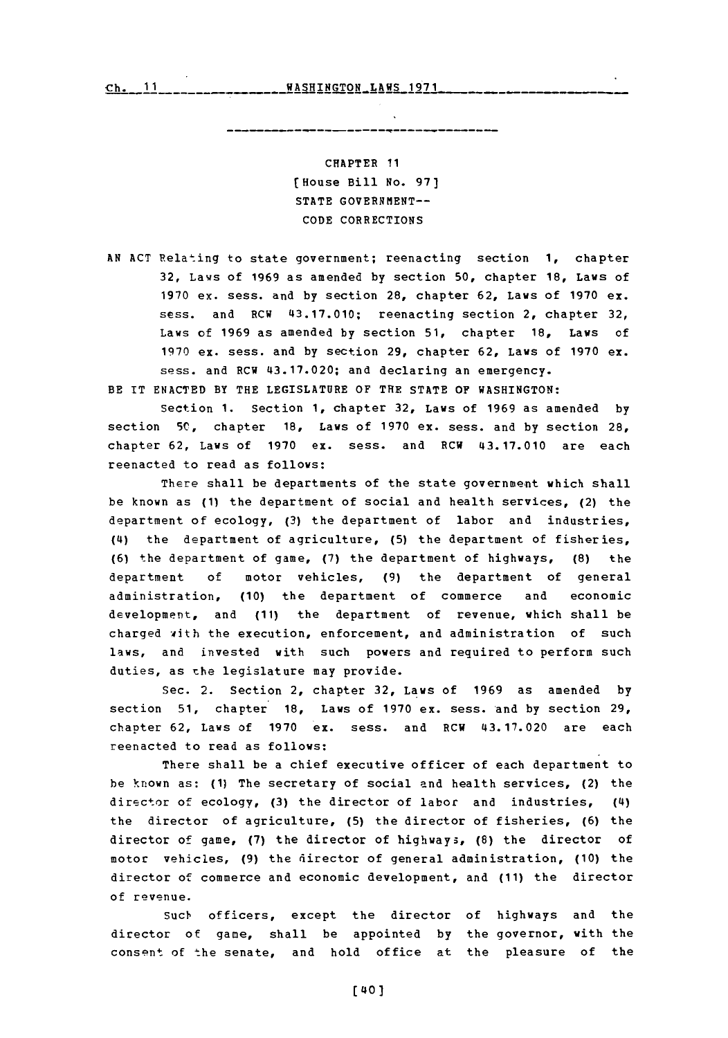## CHAPTER **11** [House Bill No. **97)** STATE GOVERNMENT--**CODE** CORRECTIONS

**AN ACT** Relating to state government; reenacting section **1,** chapter **32,** Laws of **1969** as amended **by** section **50,** chapter **18,** Laws of **1970** ex. sess. and **by** section 28, chapter **62,** Laws of **1970** ex. sess. and RCW 43.17.010; reenacting section 2, chapter **32,** Laws **of 1969** as amended **by** section **51,** chapter **18,** Laws of **1970** ex. sess. and **by** section **29,** chapter **62,** Laws of **1970** ex. sess. and RCW 43.17.020; and declaring an emergency.

BE IT **ENACTED** BY THE **LEGISLATURE** OF THE **STATE** OF **WASHINGTON:**

Section **1.** Section **1,** chapter **32,** Laws of **1969** as amended **by** section **5C,** chapter **18,** Laws of **1970** ex. sess. and **by** section 28, chapter **62,** Laws of **1970** ex. sess. and RCW 43.17.010 are each reenacted to read as follows:

There shall be departments of the state government which shall be known as **(1)** the department of social and health services, (2) the department of ecology, **(3)** the department of labor and industries, (4) the department of agriculture, **(5)** the department of fisheries, **(6)** the department of game, **(7)** the department of highways, **(8)** the department **of** motor vehicles, **(9)** the department of general administration, **(10)** the department of commerce and economic development, and **(11)** the department of revenue, which shall be charged with the execution, enforcement, and administration of such laws, and invested with such powers and required to perform such duties, as the legislature may provide.

Sec. 2. Section 2, chapter **32,** Laws of **1969** as amended **by** section **51,** chapter **18,** Laws of **1970** ex. sess. and **by** section **29,** chapter **62,** Laws of **1970** ex. sess. and RCW 43.17.020 are each reenacted to read as follows:

There shall be a chief executive officer of each department to be known as: **(1)** The secretary of social and health services, (2) the director of ecology, **(3)** the director of labor and industries, (4) the director of agriculture, **(5)** the director of fisheries, **(6)** the director of game, **(7)** the director of highways, **(8)** the director of motor vehicles, **(9)** the director of general administration, **(10)** the director of commerce and economic development, and **(11)** the director of revenue.

Such officers, except the director of highways and the director of gane, shall be appointed **by** the governor, with the consent of the senate, and hold office at the pleasure of the